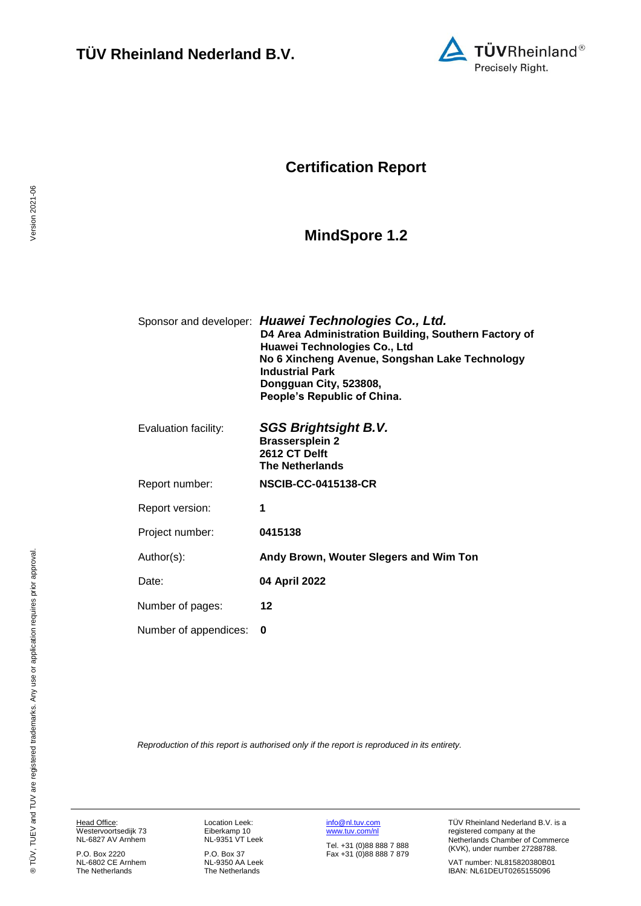

## **Certification Report**

# <span id="page-0-4"></span><span id="page-0-1"></span>**MindSpore 1.2**

<span id="page-0-3"></span><span id="page-0-0"></span>

|                       | Sponsor and developer: Huawei Technologies Co., Ltd.<br>D4 Area Administration Building, Southern Factory of<br>Huawei Technologies Co., Ltd<br>No 6 Xincheng Avenue, Songshan Lake Technology<br><b>Industrial Park</b><br>Dongguan City, 523808,<br>People's Republic of China. |
|-----------------------|-----------------------------------------------------------------------------------------------------------------------------------------------------------------------------------------------------------------------------------------------------------------------------------|
| Evaluation facility:  | SGS Brightsight B.V.<br><b>Brassersplein 2</b><br>2612 CT Delft<br><b>The Netherlands</b>                                                                                                                                                                                         |
| Report number:        | <b>NSCIB-CC-0415138-CR</b>                                                                                                                                                                                                                                                        |
| Report version:       | 1                                                                                                                                                                                                                                                                                 |
| Project number:       | 0415138                                                                                                                                                                                                                                                                           |
| Author(s):            | Andy Brown, Wouter Slegers and Wim Ton                                                                                                                                                                                                                                            |
| Date:                 | 04 April 2022                                                                                                                                                                                                                                                                     |
| Number of pages:      | 12                                                                                                                                                                                                                                                                                |
| Number of appendices: | 0                                                                                                                                                                                                                                                                                 |

<span id="page-0-2"></span>*Reproduction of this report is authorised only if the report is reproduced in its entirety.*

Head Office:

Westervoortsedijk 73 NL-6827 AV Arnhem P.O. Box 2220

NL-6802 CE Arnhem The Netherlands

Location Leek: Eiberkamp 10 NL-9351 VT Leek

P.O. Box 37 NL-9350 AA Leek The Netherlands [info@nl.tuv.com](mailto:info@nl.tuv.com) [www.tuv.com/nl](http://www.tuv.com/nl)

Tel. +31 (0)88 888 7 888 Fax +31 (0)88 888 7 879 TÜV Rheinland Nederland B.V. is a registered company at the Netherlands Chamber of Commerce (KVK), under number 27288788.

VAT number: NL815820380B01 IBAN: NL61DEUT0265155096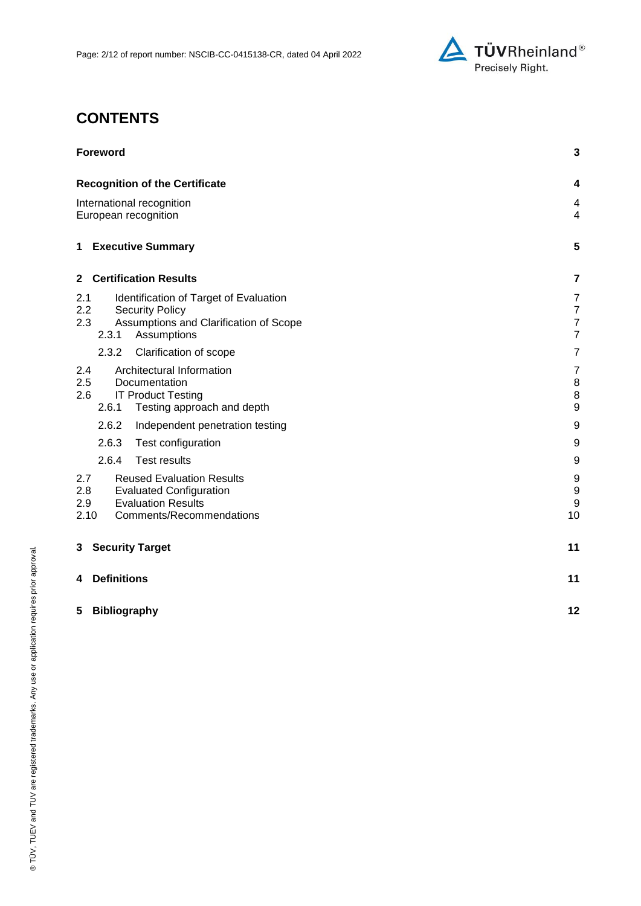

# **CONTENTS**

| <b>Foreword</b>                                                                                                                                          | $\mathbf 3$                                                            |
|----------------------------------------------------------------------------------------------------------------------------------------------------------|------------------------------------------------------------------------|
| <b>Recognition of the Certificate</b>                                                                                                                    | 4                                                                      |
| International recognition<br>European recognition                                                                                                        |                                                                        |
| <b>Executive Summary</b><br>$\mathbf 1$                                                                                                                  | 5                                                                      |
| <b>Certification Results</b><br>$\mathbf{2}$                                                                                                             | 7                                                                      |
| 2.1<br>Identification of Target of Evaluation<br>2.2<br><b>Security Policy</b><br>2.3<br>Assumptions and Clarification of Scope<br>2.3.1<br>Assumptions  | $\overline{7}$<br>$\boldsymbol{7}$<br>$\overline{7}$<br>$\overline{7}$ |
| 2.3.2<br>Clarification of scope                                                                                                                          | $\overline{7}$                                                         |
| Architectural Information<br>2.4<br>2.5<br>Documentation<br>2.6<br><b>IT Product Testing</b><br>2.6.1<br>Testing approach and depth                      | $\overline{7}$<br>8<br>$\,8\,$<br>$\boldsymbol{9}$                     |
| 2.6.2<br>Independent penetration testing                                                                                                                 | 9                                                                      |
| 2.6.3<br>Test configuration                                                                                                                              | $\boldsymbol{9}$                                                       |
| 2.6.4<br><b>Test results</b>                                                                                                                             | $\boldsymbol{9}$                                                       |
| 2.7<br><b>Reused Evaluation Results</b><br>2.8<br><b>Evaluated Configuration</b><br><b>Evaluation Results</b><br>2.9<br>2.10<br>Comments/Recommendations | 9<br>9<br>$\boldsymbol{9}$<br>10                                       |
| <b>Security Target</b><br>3                                                                                                                              | 11                                                                     |
| <b>Definitions</b><br>4                                                                                                                                  | 11                                                                     |
| 5<br><b>Bibliography</b>                                                                                                                                 | 12                                                                     |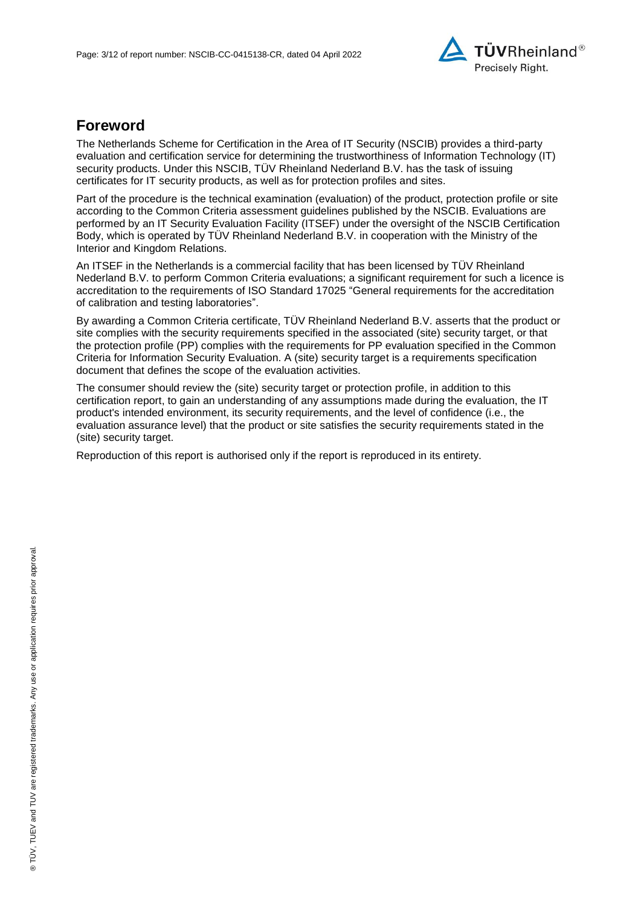

## **Foreword**

The Netherlands Scheme for Certification in the Area of IT Security (NSCIB) provides a third-party evaluation and certification service for determining the trustworthiness of Information Technology (IT) security products. Under this NSCIB, TÜV Rheinland Nederland B.V. has the task of issuing certificates for IT security products, as well as for protection profiles and sites.

Part of the procedure is the technical examination (evaluation) of the product, protection profile or site according to the Common Criteria assessment guidelines published by the NSCIB. Evaluations are performed by an IT Security Evaluation Facility (ITSEF) under the oversight of the NSCIB Certification Body, which is operated by TÜV Rheinland Nederland B.V. in cooperation with the Ministry of the Interior and Kingdom Relations.

An ITSEF in the Netherlands is a commercial facility that has been licensed by TÜV Rheinland Nederland B.V. to perform Common Criteria evaluations; a significant requirement for such a licence is accreditation to the requirements of ISO Standard 17025 "General requirements for the accreditation of calibration and testing laboratories".

By awarding a Common Criteria certificate, TÜV Rheinland Nederland B.V. asserts that the product or site complies with the security requirements specified in the associated (site) security target, or that the protection profile (PP) complies with the requirements for PP evaluation specified in the Common Criteria for Information Security Evaluation. A (site) security target is a requirements specification document that defines the scope of the evaluation activities.

The consumer should review the (site) security target or protection profile, in addition to this certification report, to gain an understanding of any assumptions made during the evaluation, the IT product's intended environment, its security requirements, and the level of confidence (i.e., the evaluation assurance level) that the product or site satisfies the security requirements stated in the (site) security target.

Reproduction of this report is authorised only if the report is reproduced in its entirety.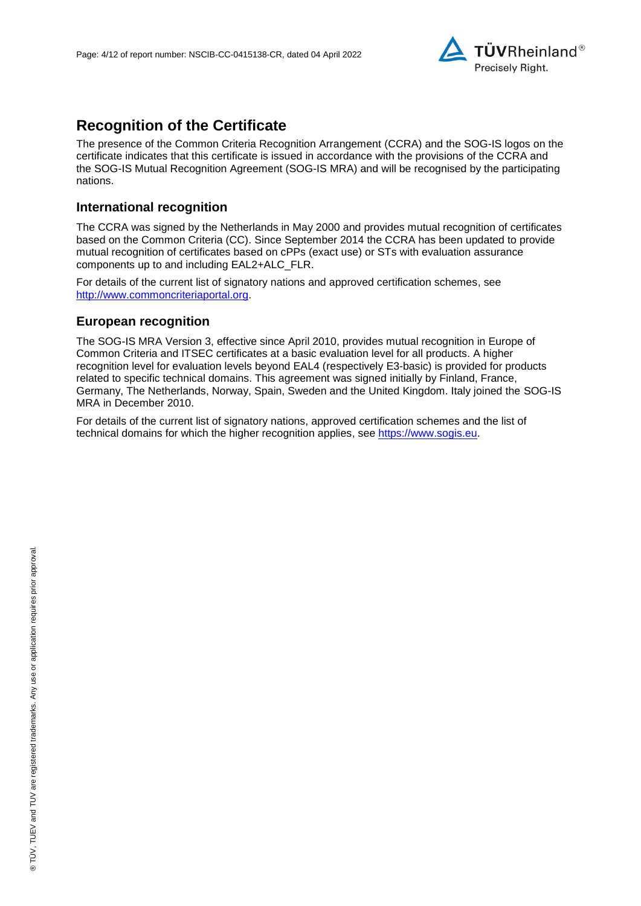

## **Recognition of the Certificate**

The presence of the Common Criteria Recognition Arrangement (CCRA) and the SOG-IS logos on the certificate indicates that this certificate is issued in accordance with the provisions of the CCRA and the SOG-IS Mutual Recognition Agreement (SOG-IS MRA) and will be recognised by the participating nations.

### **International recognition**

The CCRA was signed by the Netherlands in May 2000 and provides mutual recognition of certificates based on the Common Criteria (CC). Since September 2014 the CCRA has been updated to provide mutual recognition of certificates based on cPPs (exact use) or STs with evaluation assurance components up to and including EAL2+ALC\_FLR.

For details of the current list of signatory nations and approved certification schemes, see [http://www.commoncriteriaportal.org.](http://www.commoncriteriaportal.org/)

#### **European recognition**

The SOG-IS MRA Version 3, effective since April 2010, provides mutual recognition in Europe of Common Criteria and ITSEC certificates at a basic evaluation level for all products. A higher recognition level for evaluation levels beyond EAL4 (respectively E3-basic) is provided for products related to specific technical domains. This agreement was signed initially by Finland, France, Germany, The Netherlands, Norway, Spain, Sweden and the United Kingdom. Italy joined the SOG-IS MRA in December 2010.

For details of the current list of signatory nations, approved certification schemes and the list of technical domains for which the higher recognition applies, see [https://www.sogis.eu.](https://www.sogis.eu/)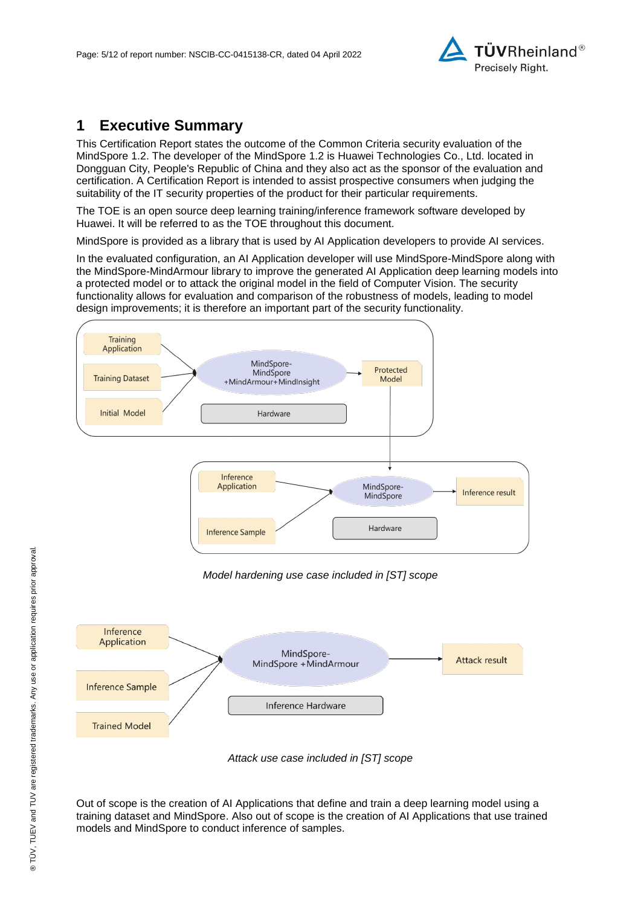

## **1 Executive Summary**

<span id="page-4-0"></span>This Certification Report states the outcome of the Common Criteria security evaluation of the [MindSpore 1.2.](#page-0-3) The developer of the [MindSpore 1.2](#page-0-3) is [Huawei Technologies Co., Ltd.](#page-0-4) located in Dongguan City, People's Republic of China and they also act as the sponsor of the evaluation and certification. A Certification Report is intended to assist prospective consumers when judging the suitability of the IT security properties of the product for their particular requirements.

The TOE is an open source deep learning training/inference framework software developed by Huawei. It will be referred to as the TOE throughout this document.

MindSpore is provided as a library that is used by AI Application developers to provide AI services.

In the evaluated configuration, an AI Application developer will use MindSpore-MindSpore along with the MindSpore-MindArmour library to improve the generated AI Application deep learning models into a protected model or to attack the original model in the field of Computer Vision. The security functionality allows for evaluation and comparison of the robustness of models, leading to model design improvements; it is therefore an important part of the security functionality.



*Model hardening use case included in [ST] scope*





Out of scope is the creation of AI Applications that define and train a deep learning model using a training dataset and MindSpore. Also out of scope is the creation of AI Applications that use trained models and MindSpore to conduct inference of samples.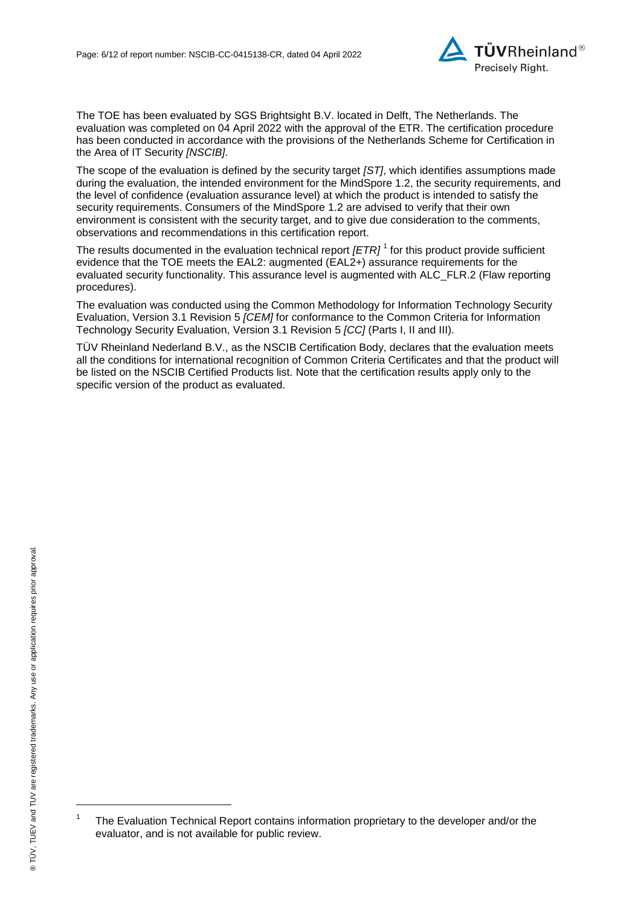

The TOE has been evaluated by SGS Brightsight B.V. located in Delft, The Netherlands. The evaluation was completed on 04 April 2022 with the approval of the ETR. The certification procedure has been conducted in accordance with the provisions of the Netherlands Scheme for Certification in the Area of IT Security *[NSCIB]*.

The scope of the evaluation is defined by the security target *[ST]*, which identifies assumptions made during the evaluation, the intended environment for the [MindSpore 1.2,](#page-0-3) the security requirements, and the level of confidence (evaluation assurance level) at which the product is intended to satisfy the security requirements. Consumers of the [MindSpore 1.2](#page-0-3) are advised to verify that their own environment is consistent with the security target, and to give due consideration to the comments, observations and recommendations in this certification report.

<span id="page-5-0"></span>The results documented in the evaluation technical report *[ETR]* <sup>1</sup> for this product provide sufficient evidence that the TOE meets the EAL2: augmented (EA[L2+](#page-5-0)) assurance requirements for the evaluated security functionality. This assurance level is augmented with ALC\_FLR.2 (Flaw reporting procedures).

<span id="page-5-1"></span>The evaluation was conducted using the Common Methodology for Information Technology Security Evaluation, Version 3.1 Revision 5 *[CEM]* for conformance to the Common Criteria for Information Technology Security Evaluation, Version 3.1 Revision [5](#page-5-1) *[CC]* (Parts I, II and III).

TÜV Rheinland Nederland B.V., as the NSCIB Certification Body, declares that the evaluation meets all the conditions for international recognition of Common Criteria Certificates and that the product will be listed on the NSCIB Certified Products list. Note that the certification results apply only to the specific version of the product as evaluated.

l

<sup>1</sup> The Evaluation Technical Report contains information proprietary to the developer and/or the evaluator, and is not available for public review.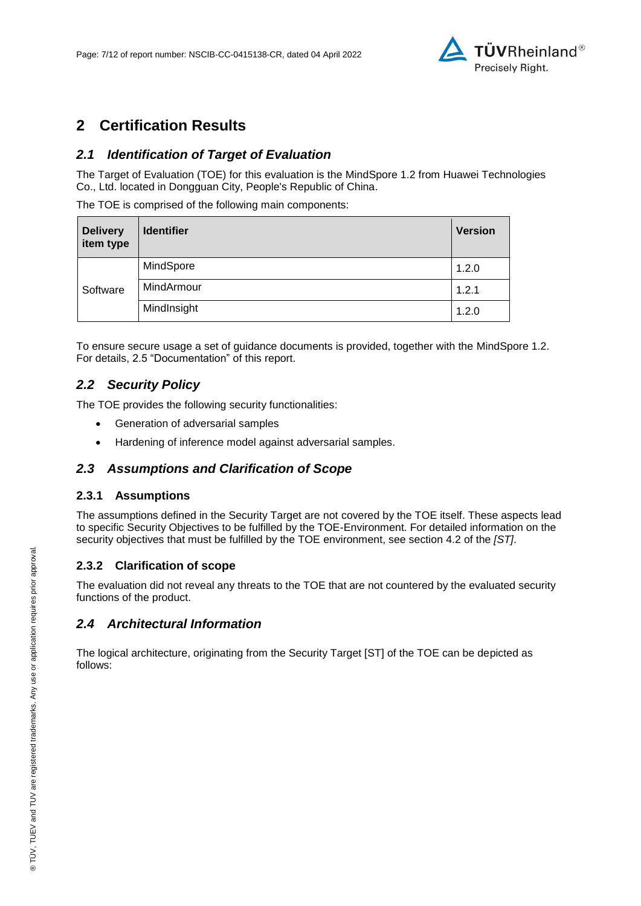

## **2 Certification Results**

## *2.1 Identification of Target of Evaluation*

The Target of Evaluation (TOE) for this evaluation is the [MindSpore 1.2](#page-0-3) from [Huawei Technologies](#page-0-4)  [Co., Ltd.](#page-0-4) located in [Dongguan City, People's Republic of China.](#page-4-0)

The TOE is comprised of the following main components:

| <b>Delivery</b><br>item type | <b>Identifier</b> | <b>Version</b> |
|------------------------------|-------------------|----------------|
| Software                     | MindSpore         | 1.2.0          |
|                              | MindArmour        | 1.2.1          |
|                              | MindInsight       | 1.2.0          |

To ensure secure usage a set of guidance documents is provided, together with the [MindSpore 1.2.](#page-0-3) For details, 2.5 "Documentation" of this report.

## *2.2 Security Policy*

The TOE provides the following security functionalities:

- Generation of adversarial samples
- Hardening of inference model against adversarial samples.

### *2.3 Assumptions and Clarification of Scope*

#### **2.3.1 Assumptions**

The assumptions defined in the Security Target are not covered by the TOE itself. These aspects lead to specific Security Objectives to be fulfilled by the TOE-Environment. For detailed information on the security objectives that must be fulfilled by the TOE environment, see section 4.2 of the *[ST]*.

#### **2.3.2 Clarification of scope**

The evaluation did not reveal any threats to the TOE that are not countered by the evaluated security functions of the product.

### *2.4 Architectural Information*

The logical architecture, originating from the Security Target [ST] of the TOE can be depicted as follows: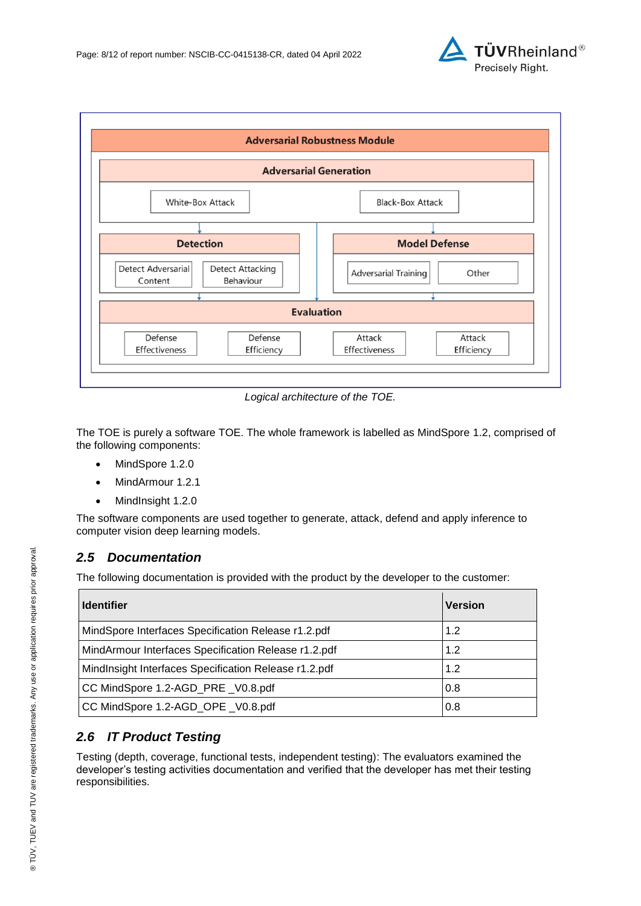



*Logical architecture of the TOE.*

The TOE is purely a software TOE. The whole framework is labelled as MindSpore 1.2, comprised of the following components:

- MindSpore 1.2.0
- MindArmour 1.2.1
- MindInsight 1.2.0

The software components are used together to generate, attack, defend and apply inference to computer vision deep learning models.

### *2.5 Documentation*

The following documentation is provided with the product by the developer to the customer:

| <b>Identifier</b>                                           | <b>Version</b> |
|-------------------------------------------------------------|----------------|
| MindSpore Interfaces Specification Release r1.2.pdf<br>1.2  |                |
| 1.2<br>MindArmour Interfaces Specification Release r1.2.pdf |                |
| MindInsight Interfaces Specification Release r1.2.pdf       | 1.2            |
| CC MindSpore 1.2-AGD_PRE _V0.8.pdf<br>0.8                   |                |
| CC MindSpore 1.2-AGD_OPE _V0.8.pdf                          | 0.8            |

## *2.6 IT Product Testing*

Testing (depth, coverage, functional tests, independent testing): The evaluators examined the developer's testing activities documentation and verified that the developer has met their testing responsibilities.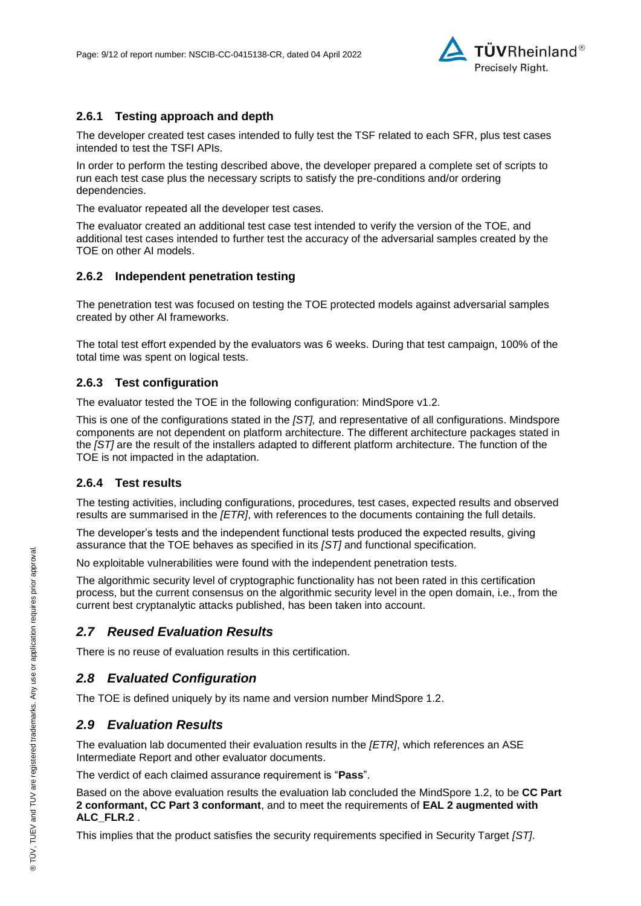

#### **2.6.1 Testing approach and depth**

The developer created test cases intended to fully test the TSF related to each SFR, plus test cases intended to test the TSFI APIs.

In order to perform the testing described above, the developer prepared a complete set of scripts to run each test case plus the necessary scripts to satisfy the pre-conditions and/or ordering dependencies.

The evaluator repeated all the developer test cases.

The evaluator created an additional test case test intended to verify the version of the TOE, and additional test cases intended to further test the accuracy of the adversarial samples created by the TOE on other AI models.

#### **2.6.2 Independent penetration testing**

The penetration test was focused on testing the TOE protected models against adversarial samples created by other AI frameworks.

The total test effort expended by the evaluators was 6 weeks. During that test campaign, 100% of the total time was spent on logical tests.

#### **2.6.3 Test configuration**

The evaluator tested the TOE in the following configuration: MindSpore v1.2.

This is one of the configurations stated in the *[ST],* and representative of all configurations. Mindspore components are not dependent on platform architecture. The different architecture packages stated in the *[ST]* are the result of the installers adapted to different platform architecture. The function of the TOE is not impacted in the adaptation.

#### **2.6.4 Test results**

The testing activities, including configurations, procedures, test cases, expected results and observed results are summarised in the *[ETR]*, with references to the documents containing the full details.

The developer's tests and the independent functional tests produced the expected results, giving assurance that the TOE behaves as specified in its *[ST]* and functional specification.

No exploitable vulnerabilities were found with the independent penetration tests.

The algorithmic security level of cryptographic functionality has not been rated in this certification process, but the current consensus on the algorithmic security level in the open domain, i.e., from the current best cryptanalytic attacks published, has been taken into account.

### *2.7 Reused Evaluation Results*

There is no reuse of evaluation results in this certification.

#### *2.8 Evaluated Configuration*

The TOE is defined uniquely by its name and version number [MindSpore 1.2.](#page-0-3)

#### *2.9 Evaluation Results*

The evaluation lab documented their evaluation results in the *[ETR]*, which references an ASE Intermediate Report and other evaluator documents.

The verdict of each claimed assurance requirement is "**Pass**".

Based on the above evaluation results the evaluation lab concluded the [MindSpore 1.2,](#page-0-3) to be **CC Part 2 conformant, CC Part 3 conformant**, and to meet the requirements of **EAL [2](#page-5-0) augmented with ALC\_FLR.2** .

This implies that the product satisfies the security requirements specified in Security Target *[ST]*.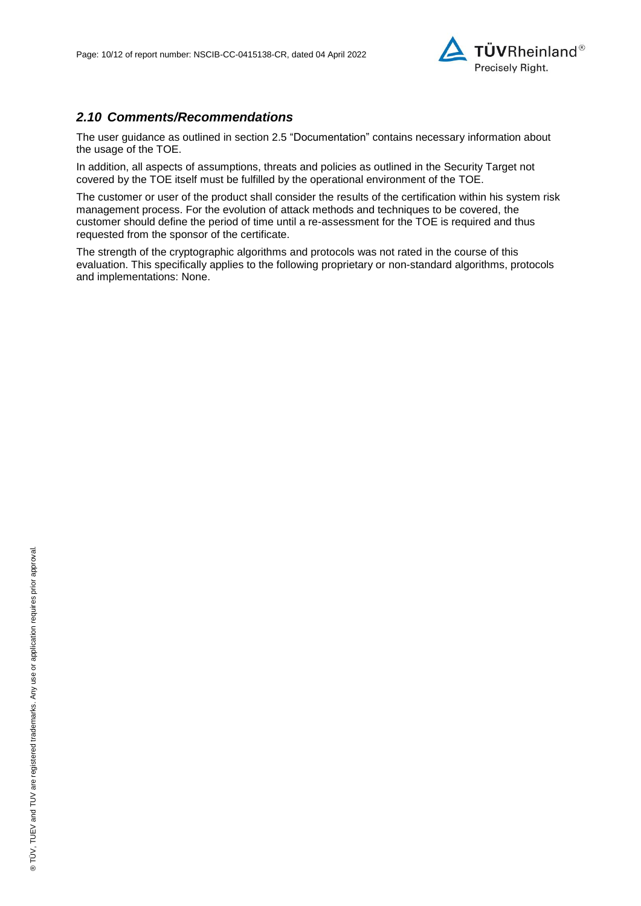

### *2.10 Comments/Recommendations*

The user guidance as outlined in section 2.5 "Documentation" contains necessary information about the usage of the TOE.

In addition, all aspects of assumptions, threats and policies as outlined in the Security Target not covered by the TOE itself must be fulfilled by the operational environment of the TOE.

The customer or user of the product shall consider the results of the certification within his system risk management process. For the evolution of attack methods and techniques to be covered, the customer should define the period of time until a re-assessment for the TOE is required and thus requested from the sponsor of the certificate.

The strength of the cryptographic algorithms and protocols was not rated in the course of this evaluation. This specifically applies to the following proprietary or non-standard algorithms, protocols and implementations: None.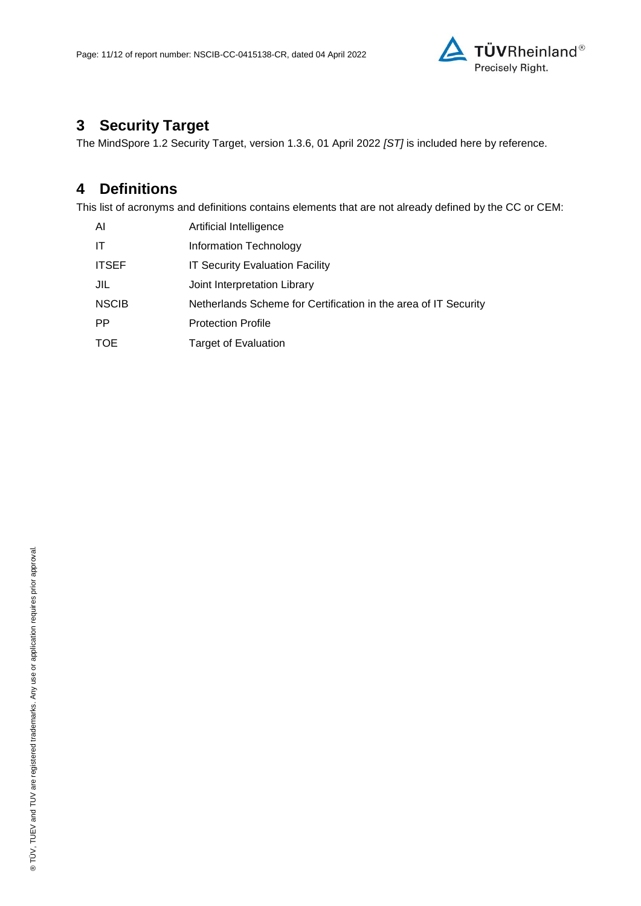

# **3 Security Target**

The [MindSpore 1.2 Security Target, version 1.3.6, 01 April 2022](#page-11-0) *[ST]* is included here by reference.

# **4 Definitions**

This list of acronyms and definitions contains elements that are not already defined by the CC or CEM:

| Al           | Artificial Intelligence                                         |
|--------------|-----------------------------------------------------------------|
| IT           | Information Technology                                          |
| <b>ITSEF</b> | <b>IT Security Evaluation Facility</b>                          |
| JIL          | Joint Interpretation Library                                    |
| <b>NSCIB</b> | Netherlands Scheme for Certification in the area of IT Security |
| <b>PP</b>    | <b>Protection Profile</b>                                       |
| <b>TOE</b>   | <b>Target of Evaluation</b>                                     |